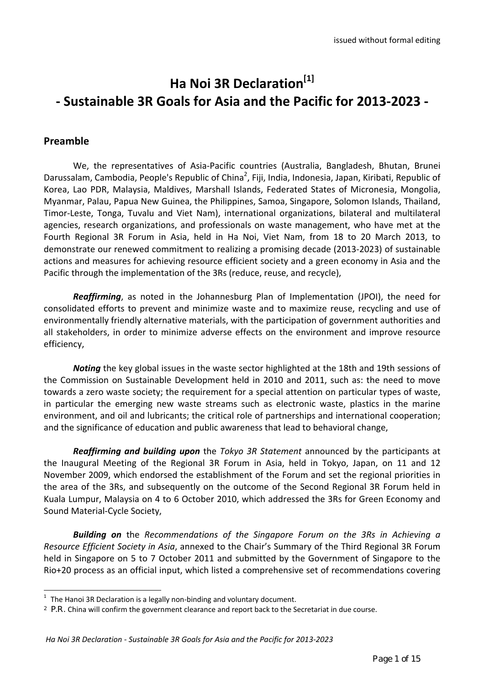# **Ha Noi** 3R Declaration<sup>[1]</sup> **‐ Sustainable 3R Goals for Asia and the Pacific for 2013‐2023 ‐**

### **Preamble**

 $\overline{a}$ 

We, the representatives of Asia-Pacific countries (Australia, Bangladesh, Bhutan, Brunei) Darussalam, Cambodia, People's Republic of China<sup>2</sup>, Fiji, India, Indonesia, Japan, Kiribati, Republic of Korea, Lao PDR, Malaysia, Maldives, Marshall Islands, Federated States of Micronesia, Mongolia, Myanmar, Palau, Papua New Guinea, the Philippines, Samoa, Singapore, Solomon Islands, Thailand, Timor‐Leste, Tonga, Tuvalu and Viet Nam), international organizations, bilateral and multilateral agencies, research organizations, and professionals on waste management, who have met at the Fourth Regional 3R Forum in Asia, held in Ha Noi, Viet Nam, from 18 to 20 March 2013, to demonstrate our renewed commitment to realizing a promising decade (2013‐2023) of sustainable actions and measures for achieving resource efficient society and a green economy in Asia and the Pacific through the implementation of the 3Rs (reduce, reuse, and recycle),

*Reaffirming*, as noted in the Johannesburg Plan of Implementation (JPOI), the need for consolidated efforts to prevent and minimize waste and to maximize reuse, recycling and use of environmentally friendly alternative materials, with the participation of government authorities and all stakeholders, in order to minimize adverse effects on the environment and improve resource efficiency,

*Noting* the key global issues in the waste sector highlighted at the 18th and 19th sessions of the Commission on Sustainable Development held in 2010 and 2011, such as: the need to move towards a zero waste society; the requirement for a special attention on particular types of waste, in particular the emerging new waste streams such as electronic waste, plastics in the marine environment, and oil and lubricants; the critical role of partnerships and international cooperation; and the significance of education and public awareness that lead to behavioral change,

*Reaffirming and building upon* the *Tokyo 3R Statement* announced by the participants at the Inaugural Meeting of the Regional 3R Forum in Asia, held in Tokyo, Japan, on 11 and 12 November 2009, which endorsed the establishment of the Forum and set the regional priorities in the area of the 3Rs, and subsequently on the outcome of the Second Regional 3R Forum held in Kuala Lumpur, Malaysia on 4 to 6 October 2010, which addressed the 3Rs for Green Economy and Sound Material‐Cycle Society,

*Building on* the *Recommendations of the Singapore Forum on the 3Rs in Achieving a Resource Efficient Society in Asia*, annexed to the Chair's Summary of the Third Regional 3R Forum held in Singapore on 5 to 7 October 2011 and submitted by the Government of Singapore to the Rio+20 process as an official input, which listed a comprehensive set of recommendations covering

 $1$  The Hanoi 3R Declaration is a legally non-binding and voluntary document.

<sup>&</sup>lt;sup>2</sup> P.R. China will confirm the government clearance and report back to the Secretariat in due course.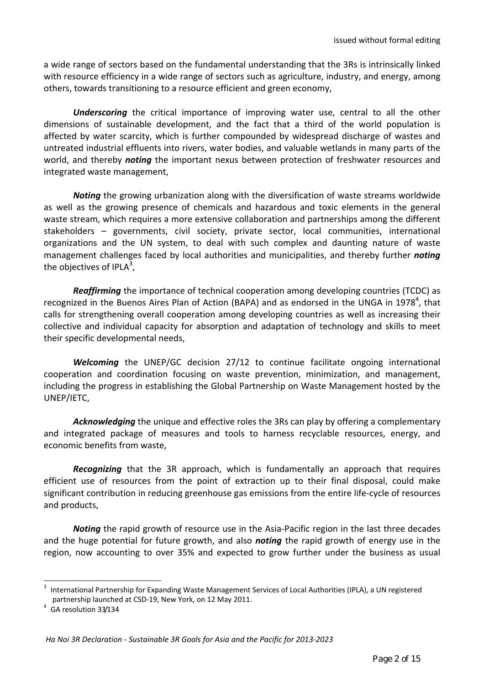a wide range of sectors based on the fundamental understanding that the 3Rs is intrinsically linked with resource efficiency in a wide range of sectors such as agriculture, industry, and energy, among others, towards transitioning to a resource efficient and green economy,

*Underscoring* the critical importance of improving water use, central to all the other dimensions of sustainable development, and the fact that a third of the world population is affected by water scarcity, which is further compounded by widespread discharge of wastes and untreated industrial effluents into rivers, water bodies, and valuable wetlands in many parts of the world, and thereby *noting* the important nexus between protection of freshwater resources and integrated waste management,

*Noting* the growing urbanization along with the diversification of waste streams worldwide as well as the growing presence of chemicals and hazardous and toxic elements in the general waste stream, which requires a more extensive collaboration and partnerships among the different stakeholders – governments, civil society, private sector, local communities, international organizations and the UN system, to deal with such complex and daunting nature of waste management challenges faced by local authorities and municipalities, and thereby further *noting* the objectives of IPLA<sup>3</sup>,

*Reaffirming* the importance of technical cooperation among developing countries (TCDC) as recognized in the Buenos Aires Plan of Action (BAPA) and as endorsed in the UNGA in 1978<sup>4</sup>, that calls for strengthening overall cooperation among developing countries as well as increasing their collective and individual capacity for absorption and adaptation of technology and skills to meet their specific developmental needs,

*Welcoming* the UNEP/GC decision 27/12 to continue facilitate ongoing international cooperation and coordination focusing on waste prevention, minimization, and management, including the progress in establishing the Global Partnership on Waste Management hosted by the UNEP/IETC,

*Acknowledging* the unique and effective roles the 3Rs can play by offering a complementary and integrated package of measures and tools to harness recyclable resources, energy, and economic benefits from waste,

*Recognizing* that the 3R approach, which is fundamentally an approach that requires efficient use of resources from the point of extraction up to their final disposal, could make significant contribution in reducing greenhouse gas emissions from the entire life‐cycle of resources and products,

**Noting** the rapid growth of resource use in the Asia-Pacific region in the last three decades and the huge potential for future growth, and also *noting* the rapid growth of energy use in the region, now accounting to over 35% and expected to grow further under the business as usual

 $\overline{a}$ 

<sup>3</sup> International Partnership for Expanding Waste Management Services of Local Authorities (IPLA), a UN registered partnership launched at CSD-19, New York, on 12 May 2011.<br><sup>4</sup> GA resolution 33/134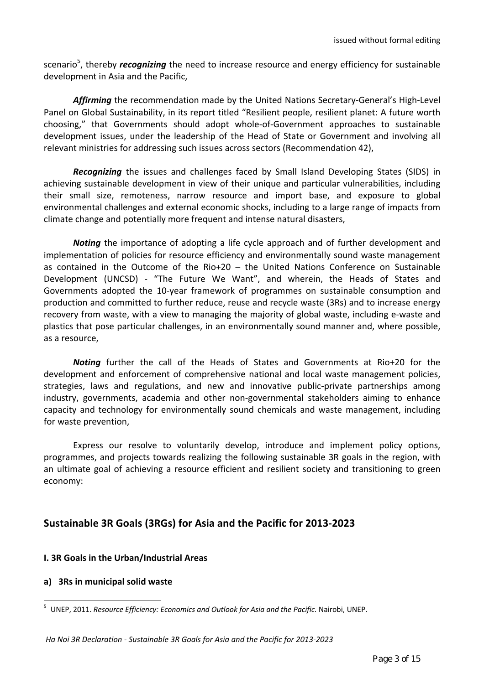scenario<sup>5</sup>, thereby *recognizing* the need to increase resource and energy efficiency for sustainable development in Asia and the Pacific,

Affirming the recommendation made by the United Nations Secretary-General's High-Level Panel on Global Sustainability, in its report titled "Resilient people, resilient planet: A future worth choosing," that Governments should adopt whole‐of‐Government approaches to sustainable development issues, under the leadership of the Head of State or Government and involving all relevant ministries for addressing such issues across sectors (Recommendation 42),

*Recognizing* the issues and challenges faced by Small Island Developing States (SIDS) in achieving sustainable development in view of their unique and particular vulnerabilities, including their small size, remoteness, narrow resource and import base, and exposure to global environmental challenges and external economic shocks, including to a large range of impacts from climate change and potentially more frequent and intense natural disasters,

*Noting* the importance of adopting a life cycle approach and of further development and implementation of policies for resource efficiency and environmentally sound waste management as contained in the Outcome of the Rio+20 – the United Nations Conference on Sustainable Development (UNCSD) - "The Future We Want", and wherein, the Heads of States and Governments adopted the 10‐year framework of programmes on sustainable consumption and production and committed to further reduce, reuse and recycle waste (3Rs) and to increase energy recovery from waste, with a view to managing the majority of global waste, including e-waste and plastics that pose particular challenges, in an environmentally sound manner and, where possible, as a resource,

*Noting* further the call of the Heads of States and Governments at Rio+20 for the development and enforcement of comprehensive national and local waste management policies, strategies, laws and regulations, and new and innovative public-private partnerships among industry, governments, academia and other non‐governmental stakeholders aiming to enhance capacity and technology for environmentally sound chemicals and waste management, including for waste prevention,

Express our resolve to voluntarily develop, introduce and implement policy options, programmes, and projects towards realizing the following sustainable 3R goals in the region, with an ultimate goal of achieving a resource efficient and resilient society and transitioning to green economy:

## **Sustainable 3R Goals (3RGs) for Asia and the Pacific for 2013‐2023**

#### **I. 3R Goals in the Urban/Industrial Areas**

#### **a) 3Rs in municipal solid waste**

 $\overline{a}$ <sup>5</sup> UNEP, 2011. *Resource Efficiency: Economics and Outlook for Asia and the Pacific.* Nairobi, UNEP.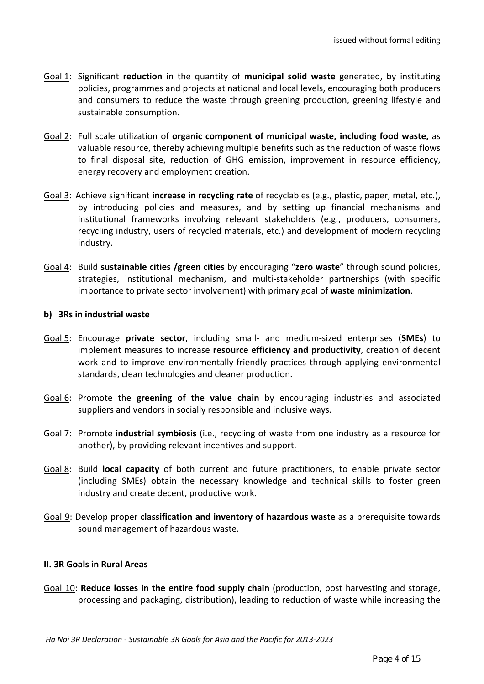- Goal 1: Significant **reduction** in the quantity of **municipal solid waste** generated, by instituting policies, programmes and projects at national and local levels, encouraging both producers and consumers to reduce the waste through greening production, greening lifestyle and sustainable consumption.
- Goal 2: Full scale utilization of **organic component of municipal waste, including food waste,** as valuable resource, thereby achieving multiple benefits such as the reduction of waste flows to final disposal site, reduction of GHG emission, improvement in resource efficiency, energy recovery and employment creation.
- Goal 3: Achieve significant **increase in recycling rate** of recyclables (e.g., plastic, paper, metal, etc.), by introducing policies and measures, and by setting up financial mechanisms and institutional frameworks involving relevant stakeholders (e.g., producers, consumers, recycling industry, users of recycled materials, etc.) and development of modern recycling industry.
- Goal 4: Build **sustainable cities /green cities** by encouraging "**zero waste**" through sound policies, strategies, institutional mechanism, and multi‐stakeholder partnerships (with specific importance to private sector involvement) with primary goal of **waste minimization**.

#### **b) 3Rs in industrial waste**

- Goal 5: Encourage **private sector**, including small‐ and medium‐sized enterprises (**SMEs**) to implement measures to increase **resource efficiency and productivity**, creation of decent work and to improve environmentally-friendly practices through applying environmental standards, clean technologies and cleaner production.
- Goal 6: Promote the **greening of the value chain** by encouraging industries and associated suppliers and vendors in socially responsible and inclusive ways.
- Goal 7: Promote **industrial symbiosis** (i.e., recycling of waste from one industry as a resource for another), by providing relevant incentives and support.
- Goal 8: Build **local capacity** of both current and future practitioners, to enable private sector (including SMEs) obtain the necessary knowledge and technical skills to foster green industry and create decent, productive work.
- Goal 9: Develop proper **classification and inventory of hazardous waste** as a prerequisite towards sound management of hazardous waste.

#### **II. 3R Goals in Rural Areas**

Goal 10: **Reduce losses in the entire food supply chain** (production, post harvesting and storage, processing and packaging, distribution), leading to reduction of waste while increasing the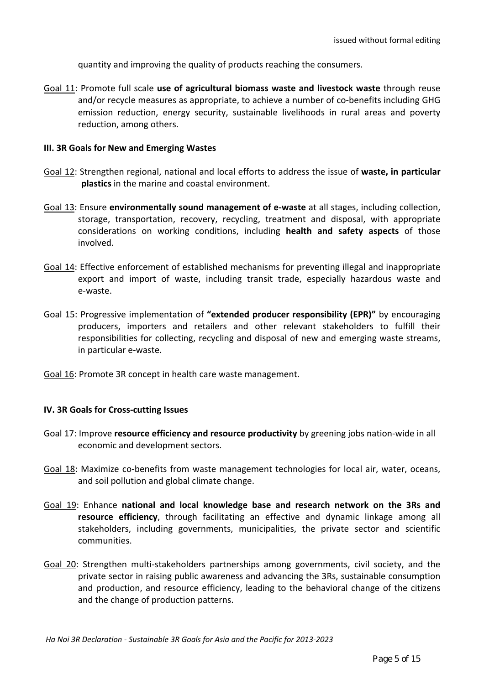quantity and improving the quality of products reaching the consumers.

Goal 11: Promote full scale **use of agricultural biomass waste and livestock waste** through reuse and/or recycle measures as appropriate, to achieve a number of co-benefits including GHG emission reduction, energy security, sustainable livelihoods in rural areas and poverty reduction, among others.

#### **III. 3R Goals for New and Emerging Wastes**

- Goal 12: Strengthen regional, national and local efforts to address the issue of **waste, in particular plastics** in the marine and coastal environment.
- Goal 13: Ensure **environmentally sound management of e‐waste** at all stages, including collection, storage, transportation, recovery, recycling, treatment and disposal, with appropriate considerations on working conditions, including **health and safety aspects** of those involved.
- Goal 14: Effective enforcement of established mechanisms for preventing illegal and inappropriate export and import of waste, including transit trade, especially hazardous waste and e‐waste.
- Goal 15: Progressive implementation of **"extended producer responsibility (EPR)"** by encouraging producers, importers and retailers and other relevant stakeholders to fulfill their responsibilities for collecting, recycling and disposal of new and emerging waste streams, in particular e‐waste.
- Goal 16: Promote 3R concept in health care waste management.

#### **IV. 3R Goals for Cross‐cutting Issues**

- Goal 17: Improve **resource efficiency and resource productivity** by greening jobs nation‐wide in all economic and development sectors.
- Goal 18: Maximize co-benefits from waste management technologies for local air, water, oceans, and soil pollution and global climate change.
- Goal 19: Enhance **national and local knowledge base and research network on the 3Rs and resource efficiency**, through facilitating an effective and dynamic linkage among all stakeholders, including governments, municipalities, the private sector and scientific communities.
- Goal 20: Strengthen multi‐stakeholders partnerships among governments, civil society, and the private sector in raising public awareness and advancing the 3Rs, sustainable consumption and production, and resource efficiency, leading to the behavioral change of the citizens and the change of production patterns.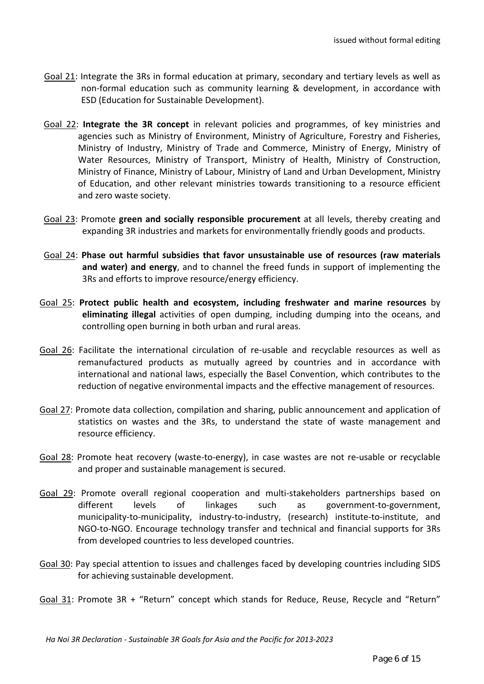- Goal 21: Integrate the 3Rs in formal education at primary, secondary and tertiary levels as well as non‐formal education such as community learning & development, in accordance with ESD (Education for Sustainable Development).
- Goal 22: **Integrate the 3R concept** in relevant policies and programmes, of key ministries and agencies such as Ministry of Environment, Ministry of Agriculture, Forestry and Fisheries, Ministry of Industry, Ministry of Trade and Commerce, Ministry of Energy, Ministry of Water Resources, Ministry of Transport, Ministry of Health, Ministry of Construction, Ministry of Finance, Ministry of Labour, Ministry of Land and Urban Development, Ministry of Education, and other relevant ministries towards transitioning to a resource efficient and zero waste society.
- Goal 23: Promote **green and socially responsible procurement** at all levels, thereby creating and expanding 3R industries and markets for environmentally friendly goods and products.
- Goal 24: **Phase out harmful subsidies that favor unsustainable use of resources (raw materials and water) and energy**, and to channel the freed funds in support of implementing the 3Rs and efforts to improve resource/energy efficiency.
- Goal 25: **Protect public health and ecosystem, including freshwater and marine resources** by **eliminating illegal** activities of open dumping, including dumping into the oceans, and controlling open burning in both urban and rural areas.
- Goal 26: Facilitate the international circulation of re‐usable and recyclable resources as well as remanufactured products as mutually agreed by countries and in accordance with international and national laws, especially the Basel Convention, which contributes to the reduction of negative environmental impacts and the effective management of resources.
- Goal 27: Promote data collection, compilation and sharing, public announcement and application of statistics on wastes and the 3Rs, to understand the state of waste management and resource efficiency.
- Goal 28: Promote heat recovery (waste‐to‐energy), in case wastes are not re‐usable or recyclable and proper and sustainable management is secured.
- Goal 29: Promote overall regional cooperation and multi‐stakeholders partnerships based on different levels of linkages such as government‐to‐government, municipality-to-municipality, industry-to-industry, (research) institute-to-institute, and NGO-to-NGO. Encourage technology transfer and technical and financial supports for 3Rs from developed countries to less developed countries.
- Goal 30: Pay special attention to issues and challenges faced by developing countries including SIDS for achieving sustainable development.

Goal 31: Promote 3R + "Return" concept which stands for Reduce, Reuse, Recycle and "Return"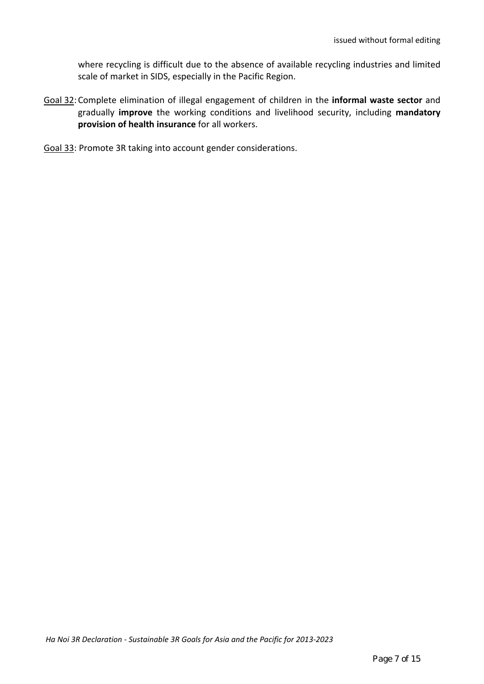where recycling is difficult due to the absence of available recycling industries and limited scale of market in SIDS, especially in the Pacific Region.

- Goal 32:Complete elimination of illegal engagement of children in the **informal waste sector** and gradually **improve** the working conditions and livelihood security, including **mandatory provision of health insurance** for all workers.
- Goal 33: Promote 3R taking into account gender considerations.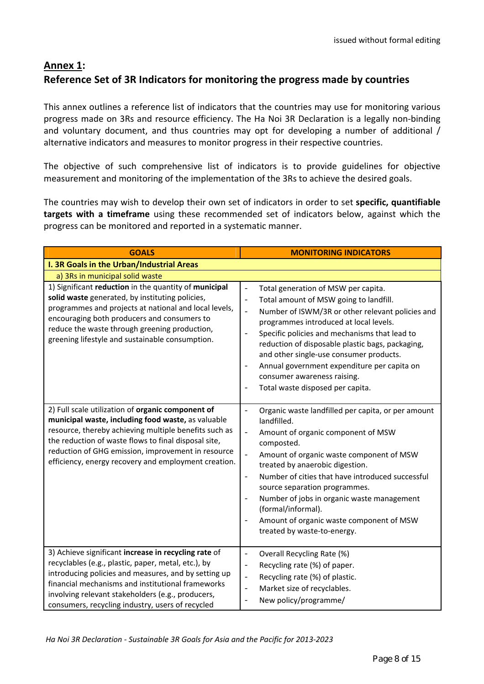# **Annex 1: Reference Set of 3R Indicators for monitoring the progress made by countries**

This annex outlines a reference list of indicators that the countries may use for monitoring various progress made on 3Rs and resource efficiency. The Ha Noi 3R Declaration is a legally non‐binding and voluntary document, and thus countries may opt for developing a number of additional / alternative indicators and measures to monitor progress in their respective countries.

The objective of such comprehensive list of indicators is to provide guidelines for objective measurement and monitoring of the implementation of the 3Rs to achieve the desired goals.

The countries may wish to develop their own set of indicators in order to set **specific, quantifiable targets with a timeframe** using these recommended set of indicators below, against which the progress can be monitored and reported in a systematic manner.

| <b>GOALS</b>                                                                                                                                                                                                                                                                                                                           | <b>MONITORING INDICATORS</b>                                                                                                                                                                                                                                                                                                                                                                                                                                                                                                                                   |
|----------------------------------------------------------------------------------------------------------------------------------------------------------------------------------------------------------------------------------------------------------------------------------------------------------------------------------------|----------------------------------------------------------------------------------------------------------------------------------------------------------------------------------------------------------------------------------------------------------------------------------------------------------------------------------------------------------------------------------------------------------------------------------------------------------------------------------------------------------------------------------------------------------------|
| I. 3R Goals in the Urban/Industrial Areas                                                                                                                                                                                                                                                                                              |                                                                                                                                                                                                                                                                                                                                                                                                                                                                                                                                                                |
| a) 3Rs in municipal solid waste                                                                                                                                                                                                                                                                                                        |                                                                                                                                                                                                                                                                                                                                                                                                                                                                                                                                                                |
| 1) Significant reduction in the quantity of municipal<br>solid waste generated, by instituting policies,<br>programmes and projects at national and local levels,<br>encouraging both producers and consumers to<br>reduce the waste through greening production,<br>greening lifestyle and sustainable consumption.                   | $\blacksquare$<br>Total generation of MSW per capita.<br>Total amount of MSW going to landfill.<br>$\blacksquare$<br>Number of ISWM/3R or other relevant policies and<br>$\blacksquare$<br>programmes introduced at local levels.<br>Specific policies and mechanisms that lead to<br>$\blacksquare$<br>reduction of disposable plastic bags, packaging,<br>and other single-use consumer products.<br>Annual government expenditure per capita on<br>$\blacksquare$<br>consumer awareness raising.<br>Total waste disposed per capita.<br>$\blacksquare$      |
| 2) Full scale utilization of organic component of<br>municipal waste, including food waste, as valuable<br>resource, thereby achieving multiple benefits such as<br>the reduction of waste flows to final disposal site,<br>reduction of GHG emission, improvement in resource<br>efficiency, energy recovery and employment creation. | Organic waste landfilled per capita, or per amount<br>$\blacksquare$<br>landfilled.<br>Amount of organic component of MSW<br>$\blacksquare$<br>composted.<br>Amount of organic waste component of MSW<br>$\blacksquare$<br>treated by anaerobic digestion.<br>Number of cities that have introduced successful<br>$\overline{\phantom{a}}$<br>source separation programmes.<br>Number of jobs in organic waste management<br>$\blacksquare$<br>(formal/informal).<br>Amount of organic waste component of MSW<br>$\blacksquare$<br>treated by waste-to-energy. |
| 3) Achieve significant increase in recycling rate of<br>recyclables (e.g., plastic, paper, metal, etc.), by<br>introducing policies and measures, and by setting up<br>financial mechanisms and institutional frameworks<br>involving relevant stakeholders (e.g., producers,<br>consumers, recycling industry, users of recycled      | Overall Recycling Rate (%)<br>$\blacksquare$<br>Recycling rate (%) of paper.<br>$\blacksquare$<br>Recycling rate (%) of plastic.<br>$\qquad \qquad \blacksquare$<br>Market size of recyclables.<br>$\blacksquare$<br>New policy/programme/<br>÷                                                                                                                                                                                                                                                                                                                |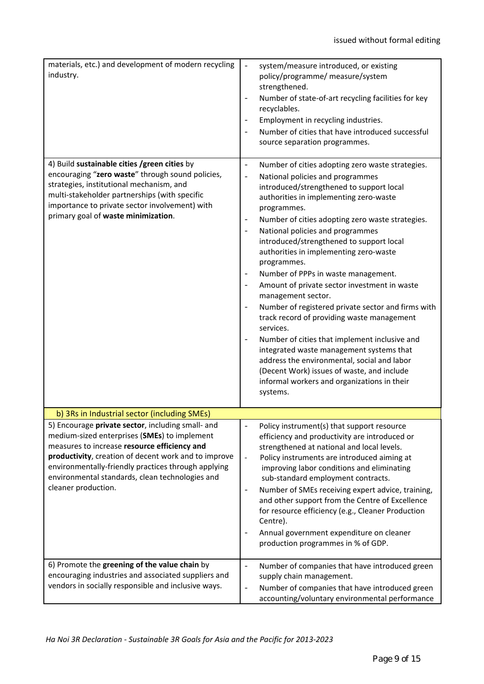| materials, etc.) and development of modern recycling<br>industry.                                                                                                                                                                                                                                                                          | $\blacksquare$<br>system/measure introduced, or existing<br>policy/programme/ measure/system<br>strengthened.<br>Number of state-of-art recycling facilities for key<br>$\blacksquare$<br>recyclables.<br>Employment in recycling industries.<br>$\blacksquare$<br>Number of cities that have introduced successful<br>$\blacksquare$<br>source separation programmes.                                                                                                                                                                                                                                                                                                                                                                                                                                                                                                                                                                                                                  |
|--------------------------------------------------------------------------------------------------------------------------------------------------------------------------------------------------------------------------------------------------------------------------------------------------------------------------------------------|-----------------------------------------------------------------------------------------------------------------------------------------------------------------------------------------------------------------------------------------------------------------------------------------------------------------------------------------------------------------------------------------------------------------------------------------------------------------------------------------------------------------------------------------------------------------------------------------------------------------------------------------------------------------------------------------------------------------------------------------------------------------------------------------------------------------------------------------------------------------------------------------------------------------------------------------------------------------------------------------|
| 4) Build sustainable cities / green cities by<br>encouraging "zero waste" through sound policies,<br>strategies, institutional mechanism, and<br>multi-stakeholder partnerships (with specific<br>importance to private sector involvement) with<br>primary goal of waste minimization.                                                    | Number of cities adopting zero waste strategies.<br>$\overline{\phantom{0}}$<br>National policies and programmes<br>$\blacksquare$<br>introduced/strengthened to support local<br>authorities in implementing zero-waste<br>programmes.<br>Number of cities adopting zero waste strategies.<br>$\overline{\phantom{0}}$<br>National policies and programmes<br>introduced/strengthened to support local<br>authorities in implementing zero-waste<br>programmes.<br>Number of PPPs in waste management.<br>$\blacksquare$<br>Amount of private sector investment in waste<br>management sector.<br>Number of registered private sector and firms with<br>$\blacksquare$<br>track record of providing waste management<br>services.<br>Number of cities that implement inclusive and<br>integrated waste management systems that<br>address the environmental, social and labor<br>(Decent Work) issues of waste, and include<br>informal workers and organizations in their<br>systems. |
| b) 3Rs in Industrial sector (including SMEs)                                                                                                                                                                                                                                                                                               |                                                                                                                                                                                                                                                                                                                                                                                                                                                                                                                                                                                                                                                                                                                                                                                                                                                                                                                                                                                         |
| 5) Encourage private sector, including small- and<br>medium-sized enterprises (SMEs) to implement<br>measures to increase resource efficiency and<br>productivity, creation of decent work and to improve<br>environmentally-friendly practices through applying<br>environmental standards, clean technologies and<br>cleaner production. | Policy instrument(s) that support resource<br>efficiency and productivity are introduced or<br>strengthened at national and local levels.<br>Policy instruments are introduced aiming at<br>$\overline{\phantom{0}}$<br>improving labor conditions and eliminating<br>sub-standard employment contracts.<br>Number of SMEs receiving expert advice, training,<br>-<br>and other support from the Centre of Excellence<br>for resource efficiency (e.g., Cleaner Production<br>Centre).<br>Annual government expenditure on cleaner<br>production programmes in % of GDP.                                                                                                                                                                                                                                                                                                                                                                                                                |
| 6) Promote the greening of the value chain by<br>encouraging industries and associated suppliers and<br>vendors in socially responsible and inclusive ways.                                                                                                                                                                                | $\blacksquare$<br>Number of companies that have introduced green<br>supply chain management.<br>Number of companies that have introduced green<br>÷<br>accounting/voluntary environmental performance                                                                                                                                                                                                                                                                                                                                                                                                                                                                                                                                                                                                                                                                                                                                                                                   |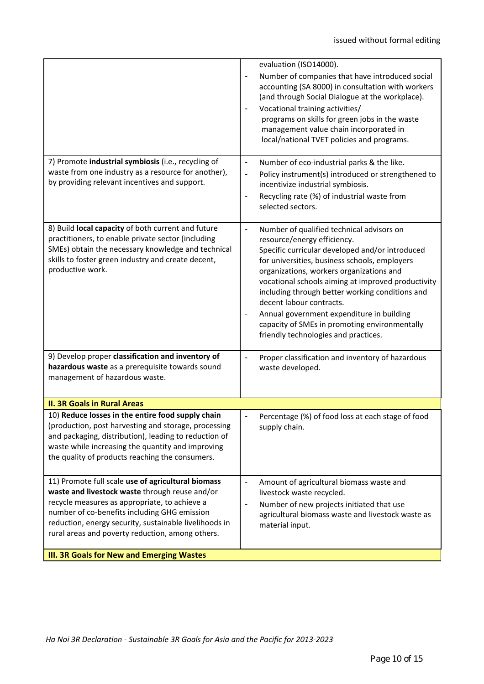|                                                                                                                                                                                                                                                                                                                     | evaluation (ISO14000).<br>Number of companies that have introduced social<br>-<br>accounting (SA 8000) in consultation with workers<br>(and through Social Dialogue at the workplace).<br>Vocational training activities/<br>programs on skills for green jobs in the waste<br>management value chain incorporated in<br>local/national TVET policies and programs.                                                                                                                                      |
|---------------------------------------------------------------------------------------------------------------------------------------------------------------------------------------------------------------------------------------------------------------------------------------------------------------------|----------------------------------------------------------------------------------------------------------------------------------------------------------------------------------------------------------------------------------------------------------------------------------------------------------------------------------------------------------------------------------------------------------------------------------------------------------------------------------------------------------|
| 7) Promote industrial symbiosis (i.e., recycling of<br>waste from one industry as a resource for another),<br>by providing relevant incentives and support.                                                                                                                                                         | Number of eco-industrial parks & the like.<br>$\blacksquare$<br>Policy instrument(s) introduced or strengthened to<br>$\blacksquare$<br>incentivize industrial symbiosis.<br>Recycling rate (%) of industrial waste from<br>$\overline{\phantom{0}}$<br>selected sectors.                                                                                                                                                                                                                                |
| 8) Build local capacity of both current and future<br>practitioners, to enable private sector (including<br>SMEs) obtain the necessary knowledge and technical<br>skills to foster green industry and create decent,<br>productive work.                                                                            | Number of qualified technical advisors on<br>÷<br>resource/energy efficiency.<br>Specific curricular developed and/or introduced<br>for universities, business schools, employers<br>organizations, workers organizations and<br>vocational schools aiming at improved productivity<br>including through better working conditions and<br>decent labour contracts.<br>Annual government expenditure in building<br>capacity of SMEs in promoting environmentally<br>friendly technologies and practices. |
| 9) Develop proper classification and inventory of<br>hazardous waste as a prerequisite towards sound<br>management of hazardous waste.                                                                                                                                                                              | Proper classification and inventory of hazardous<br>÷<br>waste developed.                                                                                                                                                                                                                                                                                                                                                                                                                                |
| <b>II. 3R Goals in Rural Areas</b>                                                                                                                                                                                                                                                                                  |                                                                                                                                                                                                                                                                                                                                                                                                                                                                                                          |
| 10) Reduce losses in the entire food supply chain<br>(production, post harvesting and storage, processing<br>and packaging, distribution), leading to reduction of<br>waste while increasing the quantity and improving<br>the quality of products reaching the consumers.                                          | Percentage (%) of food loss at each stage of food<br>supply chain.                                                                                                                                                                                                                                                                                                                                                                                                                                       |
| 11) Promote full scale use of agricultural biomass<br>waste and livestock waste through reuse and/or<br>recycle measures as appropriate, to achieve a<br>number of co-benefits including GHG emission<br>reduction, energy security, sustainable livelihoods in<br>rural areas and poverty reduction, among others. | Amount of agricultural biomass waste and<br>$\overline{\phantom{0}}$<br>livestock waste recycled.<br>Number of new projects initiated that use<br>$\overline{\phantom{0}}$<br>agricultural biomass waste and livestock waste as<br>material input.                                                                                                                                                                                                                                                       |
| <b>III. 3R Goals for New and Emerging Wastes</b>                                                                                                                                                                                                                                                                    |                                                                                                                                                                                                                                                                                                                                                                                                                                                                                                          |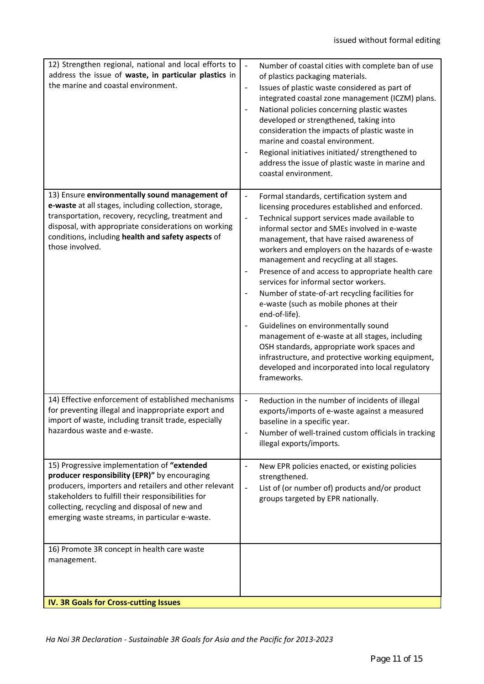| 12) Strengthen regional, national and local efforts to<br>address the issue of waste, in particular plastics in<br>the marine and coastal environment.                                                                                                                                                         | $\Box$<br>Number of coastal cities with complete ban of use<br>of plastics packaging materials.<br>Issues of plastic waste considered as part of<br>$\blacksquare$<br>integrated coastal zone management (ICZM) plans.<br>National policies concerning plastic wastes<br>$\blacksquare$<br>developed or strengthened, taking into<br>consideration the impacts of plastic waste in<br>marine and coastal environment.<br>Regional initiatives initiated/ strengthened to<br>$\qquad \qquad \blacksquare$<br>address the issue of plastic waste in marine and<br>coastal environment.                                                                                                                                                                                                                                                                                      |
|----------------------------------------------------------------------------------------------------------------------------------------------------------------------------------------------------------------------------------------------------------------------------------------------------------------|---------------------------------------------------------------------------------------------------------------------------------------------------------------------------------------------------------------------------------------------------------------------------------------------------------------------------------------------------------------------------------------------------------------------------------------------------------------------------------------------------------------------------------------------------------------------------------------------------------------------------------------------------------------------------------------------------------------------------------------------------------------------------------------------------------------------------------------------------------------------------|
| 13) Ensure environmentally sound management of<br>e-waste at all stages, including collection, storage,<br>transportation, recovery, recycling, treatment and<br>disposal, with appropriate considerations on working<br>conditions, including health and safety aspects of<br>those involved.                 | $\blacksquare$<br>Formal standards, certification system and<br>licensing procedures established and enforced.<br>Technical support services made available to<br>$\blacksquare$<br>informal sector and SMEs involved in e-waste<br>management, that have raised awareness of<br>workers and employers on the hazards of e-waste<br>management and recycling at all stages.<br>Presence of and access to appropriate health care<br>services for informal sector workers.<br>Number of state-of-art recycling facilities for<br>$\blacksquare$<br>e-waste (such as mobile phones at their<br>end-of-life).<br>Guidelines on environmentally sound<br>management of e-waste at all stages, including<br>OSH standards, appropriate work spaces and<br>infrastructure, and protective working equipment,<br>developed and incorporated into local regulatory<br>frameworks. |
| 14) Effective enforcement of established mechanisms<br>for preventing illegal and inappropriate export and<br>import of waste, including transit trade, especially<br>hazardous waste and e-waste.                                                                                                             | $\equiv$<br>Reduction in the number of incidents of illegal<br>exports/imports of e-waste against a measured<br>baseline in a specific year.<br>Number of well-trained custom officials in tracking<br>illegal exports/imports.                                                                                                                                                                                                                                                                                                                                                                                                                                                                                                                                                                                                                                           |
| 15) Progressive implementation of "extended<br>producer responsibility (EPR)" by encouraging<br>producers, importers and retailers and other relevant<br>stakeholders to fulfill their responsibilities for<br>collecting, recycling and disposal of new and<br>emerging waste streams, in particular e-waste. | New EPR policies enacted, or existing policies<br>$\blacksquare$<br>strengthened.<br>List of (or number of) products and/or product<br>$\blacksquare$<br>groups targeted by EPR nationally.                                                                                                                                                                                                                                                                                                                                                                                                                                                                                                                                                                                                                                                                               |
| 16) Promote 3R concept in health care waste<br>management.<br>IV. 3R Goals for Cross-cutting Issues                                                                                                                                                                                                            |                                                                                                                                                                                                                                                                                                                                                                                                                                                                                                                                                                                                                                                                                                                                                                                                                                                                           |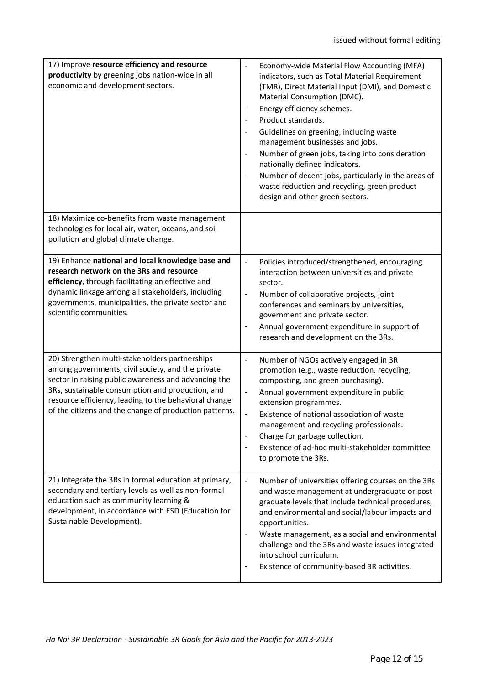| 17) Improve resource efficiency and resource<br>productivity by greening jobs nation-wide in all<br>economic and development sectors.                                                                                                                                                                                              | Economy-wide Material Flow Accounting (MFA)<br>indicators, such as Total Material Requirement<br>(TMR), Direct Material Input (DMI), and Domestic<br>Material Consumption (DMC).<br>Energy efficiency schemes.<br>$\blacksquare$<br>Product standards.<br>Guidelines on greening, including waste<br>$\blacksquare$<br>management businesses and jobs.<br>Number of green jobs, taking into consideration<br>nationally defined indicators.<br>Number of decent jobs, particularly in the areas of<br>$\blacksquare$<br>waste reduction and recycling, green product<br>design and other green sectors. |
|------------------------------------------------------------------------------------------------------------------------------------------------------------------------------------------------------------------------------------------------------------------------------------------------------------------------------------|---------------------------------------------------------------------------------------------------------------------------------------------------------------------------------------------------------------------------------------------------------------------------------------------------------------------------------------------------------------------------------------------------------------------------------------------------------------------------------------------------------------------------------------------------------------------------------------------------------|
| 18) Maximize co-benefits from waste management<br>technologies for local air, water, oceans, and soil<br>pollution and global climate change.                                                                                                                                                                                      |                                                                                                                                                                                                                                                                                                                                                                                                                                                                                                                                                                                                         |
| 19) Enhance national and local knowledge base and<br>research network on the 3Rs and resource<br>efficiency, through facilitating an effective and<br>dynamic linkage among all stakeholders, including<br>governments, municipalities, the private sector and<br>scientific communities.                                          | Policies introduced/strengthened, encouraging<br>$\blacksquare$<br>interaction between universities and private<br>sector.<br>Number of collaborative projects, joint<br>$\blacksquare$<br>conferences and seminars by universities,<br>government and private sector.<br>Annual government expenditure in support of<br>$\blacksquare$<br>research and development on the 3Rs.                                                                                                                                                                                                                         |
| 20) Strengthen multi-stakeholders partnerships<br>among governments, civil society, and the private<br>sector in raising public awareness and advancing the<br>3Rs, sustainable consumption and production, and<br>resource efficiency, leading to the behavioral change<br>of the citizens and the change of production patterns. | $\blacksquare$<br>Number of NGOs actively engaged in 3R<br>promotion (e.g., waste reduction, recycling,<br>composting, and green purchasing).<br>Annual government expenditure in public<br>$\blacksquare$<br>extension programmes.<br>Existence of national association of waste<br>÷,<br>management and recycling professionals.<br>Charge for garbage collection.<br>Existence of ad-hoc multi-stakeholder committee<br>$\blacksquare$<br>to promote the 3Rs.                                                                                                                                        |
| 21) Integrate the 3Rs in formal education at primary,<br>secondary and tertiary levels as well as non-formal<br>education such as community learning &<br>development, in accordance with ESD (Education for<br>Sustainable Development).                                                                                          | $\blacksquare$<br>Number of universities offering courses on the 3Rs<br>and waste management at undergraduate or post<br>graduate levels that include technical procedures,<br>and environmental and social/labour impacts and<br>opportunities.<br>Waste management, as a social and environmental<br>challenge and the 3Rs and waste issues integrated<br>into school curriculum.<br>Existence of community-based 3R activities.<br>$\blacksquare$                                                                                                                                                    |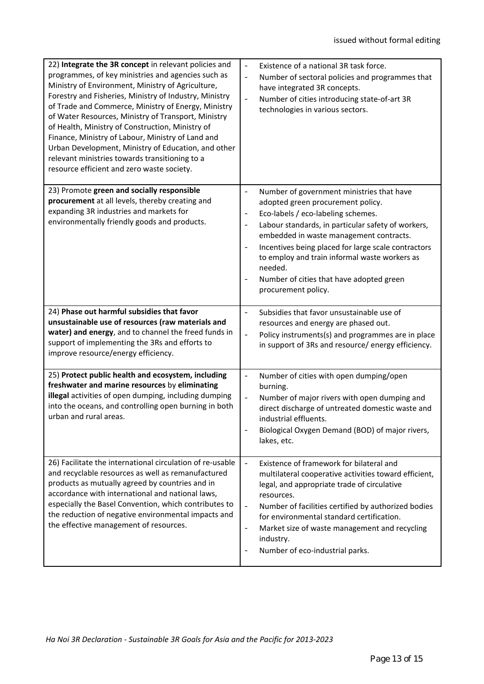| 22) Integrate the 3R concept in relevant policies and<br>programmes, of key ministries and agencies such as<br>Ministry of Environment, Ministry of Agriculture,<br>Forestry and Fisheries, Ministry of Industry, Ministry<br>of Trade and Commerce, Ministry of Energy, Ministry<br>of Water Resources, Ministry of Transport, Ministry<br>of Health, Ministry of Construction, Ministry of<br>Finance, Ministry of Labour, Ministry of Land and<br>Urban Development, Ministry of Education, and other<br>relevant ministries towards transitioning to a<br>resource efficient and zero waste society. | $\overline{\phantom{a}}$<br>Existence of a national 3R task force.<br>Number of sectoral policies and programmes that<br>$\overline{\phantom{0}}$<br>have integrated 3R concepts.<br>$\frac{1}{2}$<br>Number of cities introducing state-of-art 3R<br>technologies in various sectors.                                                                                                                                                                      |
|----------------------------------------------------------------------------------------------------------------------------------------------------------------------------------------------------------------------------------------------------------------------------------------------------------------------------------------------------------------------------------------------------------------------------------------------------------------------------------------------------------------------------------------------------------------------------------------------------------|-------------------------------------------------------------------------------------------------------------------------------------------------------------------------------------------------------------------------------------------------------------------------------------------------------------------------------------------------------------------------------------------------------------------------------------------------------------|
| 23) Promote green and socially responsible<br>procurement at all levels, thereby creating and<br>expanding 3R industries and markets for<br>environmentally friendly goods and products.                                                                                                                                                                                                                                                                                                                                                                                                                 | Number of government ministries that have<br>-<br>adopted green procurement policy.<br>Eco-labels / eco-labeling schemes.<br>-<br>Labour standards, in particular safety of workers,<br>$\overline{\phantom{0}}$<br>embedded in waste management contracts.<br>Incentives being placed for large scale contractors<br>-<br>to employ and train informal waste workers as<br>needed.<br>Number of cities that have adopted green<br>-<br>procurement policy. |
| 24) Phase out harmful subsidies that favor<br>unsustainable use of resources (raw materials and<br>water) and energy, and to channel the freed funds in<br>support of implementing the 3Rs and efforts to<br>improve resource/energy efficiency.                                                                                                                                                                                                                                                                                                                                                         | Subsidies that favor unsustainable use of<br>÷,<br>resources and energy are phased out.<br>$\overline{\phantom{0}}$<br>Policy instruments(s) and programmes are in place<br>in support of 3Rs and resource/ energy efficiency.                                                                                                                                                                                                                              |
| 25) Protect public health and ecosystem, including<br>freshwater and marine resources by eliminating<br>illegal activities of open dumping, including dumping<br>into the oceans, and controlling open burning in both<br>urban and rural areas.                                                                                                                                                                                                                                                                                                                                                         | Number of cities with open dumping/open<br>$\blacksquare$<br>burning.<br>$\blacksquare$<br>Number of major rivers with open dumping and<br>direct discharge of untreated domestic waste and<br>industrial effluents.<br>Biological Oxygen Demand (BOD) of major rivers,<br>lakes, etc.                                                                                                                                                                      |
| 26) Facilitate the international circulation of re-usable<br>and recyclable resources as well as remanufactured<br>products as mutually agreed by countries and in<br>accordance with international and national laws,<br>especially the Basel Convention, which contributes to<br>the reduction of negative environmental impacts and<br>the effective management of resources.                                                                                                                                                                                                                         | $\equiv$<br>Existence of framework for bilateral and<br>multilateral cooperative activities toward efficient,<br>legal, and appropriate trade of circulative<br>resources.<br>Number of facilities certified by authorized bodies<br>$\blacksquare$<br>for environmental standard certification.<br>Market size of waste management and recycling<br>-<br>industry.<br>Number of eco-industrial parks.<br>-                                                 |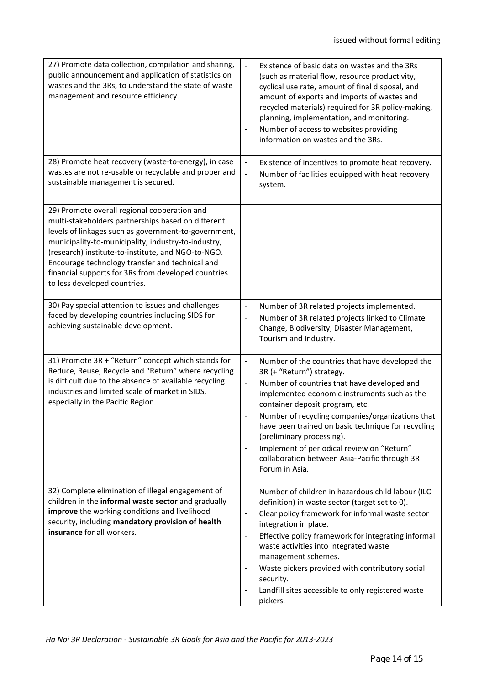| 27) Promote data collection, compilation and sharing,<br>public announcement and application of statistics on<br>wastes and the 3Rs, to understand the state of waste<br>management and resource efficiency.                                                                                                                                                                                                      | $\Box$<br>Existence of basic data on wastes and the 3Rs<br>(such as material flow, resource productivity,<br>cyclical use rate, amount of final disposal, and<br>amount of exports and imports of wastes and<br>recycled materials) required for 3R policy-making,<br>planning, implementation, and monitoring.<br>Number of access to websites providing<br>$\blacksquare$<br>information on wastes and the 3Rs.                                                                                                                      |
|-------------------------------------------------------------------------------------------------------------------------------------------------------------------------------------------------------------------------------------------------------------------------------------------------------------------------------------------------------------------------------------------------------------------|----------------------------------------------------------------------------------------------------------------------------------------------------------------------------------------------------------------------------------------------------------------------------------------------------------------------------------------------------------------------------------------------------------------------------------------------------------------------------------------------------------------------------------------|
| 28) Promote heat recovery (waste-to-energy), in case<br>wastes are not re-usable or recyclable and proper and<br>sustainable management is secured.                                                                                                                                                                                                                                                               | Existence of incentives to promote heat recovery.<br>$\blacksquare$<br>Number of facilities equipped with heat recovery<br>$\blacksquare$<br>system.                                                                                                                                                                                                                                                                                                                                                                                   |
| 29) Promote overall regional cooperation and<br>multi-stakeholders partnerships based on different<br>levels of linkages such as government-to-government,<br>municipality-to-municipality, industry-to-industry,<br>(research) institute-to-institute, and NGO-to-NGO.<br>Encourage technology transfer and technical and<br>financial supports for 3Rs from developed countries<br>to less developed countries. |                                                                                                                                                                                                                                                                                                                                                                                                                                                                                                                                        |
| 30) Pay special attention to issues and challenges<br>faced by developing countries including SIDS for<br>achieving sustainable development.                                                                                                                                                                                                                                                                      | Number of 3R related projects implemented.<br>$\blacksquare$<br>Number of 3R related projects linked to Climate<br>$\blacksquare$<br>Change, Biodiversity, Disaster Management,<br>Tourism and Industry.                                                                                                                                                                                                                                                                                                                               |
| 31) Promote 3R + "Return" concept which stands for<br>Reduce, Reuse, Recycle and "Return" where recycling<br>is difficult due to the absence of available recycling<br>industries and limited scale of market in SIDS,<br>especially in the Pacific Region.                                                                                                                                                       | $\overline{\phantom{a}}$<br>Number of the countries that have developed the<br>3R (+ "Return") strategy.<br>Number of countries that have developed and<br>$\blacksquare$<br>implemented economic instruments such as the<br>container deposit program, etc.<br>Number of recycling companies/organizations that<br>have been trained on basic technique for recycling<br>(preliminary processing).<br>Implement of periodical review on "Return"<br>$\blacksquare$<br>collaboration between Asia-Pacific through 3R<br>Forum in Asia. |
| 32) Complete elimination of illegal engagement of<br>children in the informal waste sector and gradually<br>improve the working conditions and livelihood<br>security, including mandatory provision of health<br>insurance for all workers.                                                                                                                                                                      | Number of children in hazardous child labour (ILO<br>$\blacksquare$<br>definition) in waste sector (target set to 0).<br>Clear policy framework for informal waste sector<br>$\blacksquare$<br>integration in place.<br>Effective policy framework for integrating informal<br>$\blacksquare$<br>waste activities into integrated waste<br>management schemes.<br>Waste pickers provided with contributory social<br>security.<br>Landfill sites accessible to only registered waste<br>$\blacksquare$<br>pickers.                     |